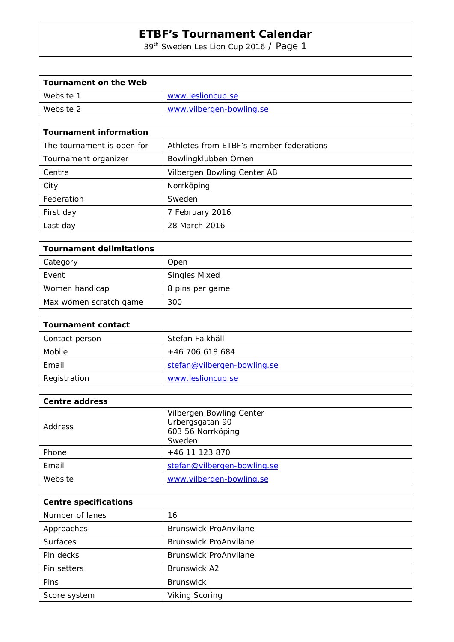39th Sweden Les Lion Cup 2016 / Page 1

| Tournament on the Web |                          |
|-----------------------|--------------------------|
| Website 1             | www.leslioncup.se        |
| Website 2             | www.vilbergen-bowling.se |

| <b>Tournament information</b> |                                         |
|-------------------------------|-----------------------------------------|
| The tournament is open for    | Athletes from ETBF's member federations |
| Tournament organizer          | Bowlingklubben Örnen                    |
| Centre                        | Vilbergen Bowling Center AB             |
| City                          | Norrköping                              |
| Federation                    | Sweden                                  |
| First day                     | 7 February 2016                         |
| Last day                      | 28 March 2016                           |

| Tournament delimitations |                      |
|--------------------------|----------------------|
| Category                 | Open                 |
| Event                    | <b>Singles Mixed</b> |
| Women handicap           | 8 pins per game      |
| Max women scratch game   | 300                  |

| Tournament contact |                             |  |
|--------------------|-----------------------------|--|
| Contact person     | Stefan Falkhäll             |  |
| Mobile             | +46 706 618 684             |  |
| Email              | stefan@vilbergen-bowling.se |  |
| Registration       | www.leslioncup.se           |  |

| <b>Centre address</b> |                                                                            |  |  |
|-----------------------|----------------------------------------------------------------------------|--|--|
| Address               | Vilbergen Bowling Center<br>Urbergsgatan 90<br>603 56 Norrköping<br>Sweden |  |  |
| Phone                 | +46 11 123 870                                                             |  |  |
| Email                 | stefan@vilbergen-bowling.se                                                |  |  |
| Website               | www.vilbergen-bowling.se                                                   |  |  |

| <b>Centre specifications</b> |                              |  |
|------------------------------|------------------------------|--|
| Number of lanes              | 16                           |  |
| Approaches                   | <b>Brunswick ProAnvilane</b> |  |
| <b>Surfaces</b>              | <b>Brunswick ProAnvilane</b> |  |
| Pin decks                    | <b>Brunswick ProAnvilane</b> |  |
| Pin setters                  | <b>Brunswick A2</b>          |  |
| Pins                         | <b>Brunswick</b>             |  |
| Score system                 | <b>Viking Scoring</b>        |  |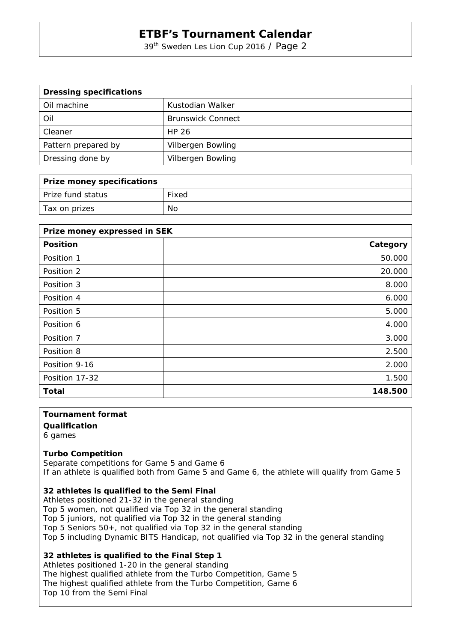39<sup>th</sup> Sweden Les Lion Cup 2016 / Page 2

| <b>Dressing specifications</b> |                          |
|--------------------------------|--------------------------|
| Oil machine                    | Kustodian Walker         |
| Oil                            | <b>Brunswick Connect</b> |
| Cleaner                        | HP 26                    |
| Pattern prepared by            | Vilbergen Bowling        |
| Dressing done by               | Vilbergen Bowling        |

| <b>Prize money specifications</b> |       |
|-----------------------------------|-------|
| Prize fund status                 | Fixed |
| Tax on prizes                     | No    |

| Prize money expressed in SEK |          |  |  |
|------------------------------|----------|--|--|
| <b>Position</b>              | Category |  |  |
| Position 1                   | 50.000   |  |  |
| Position 2                   | 20.000   |  |  |
| Position 3                   | 8.000    |  |  |
| Position 4                   | 6.000    |  |  |
| Position 5                   | 5.000    |  |  |
| Position 6                   | 4.000    |  |  |
| Position 7                   | 3.000    |  |  |
| Position 8                   | 2.500    |  |  |
| Position 9-16                | 2.000    |  |  |
| Position 17-32               | 1.500    |  |  |
| <b>Total</b>                 | 148.500  |  |  |

## **Tournament format**

**Qualification**  6 games

#### **Turbo Competition**

Separate competitions for Game 5 and Game 6 If an athlete is qualified both from Game 5 and Game 6, the athlete will qualify from Game 5

#### **32 athletes is qualified to the Semi Final**

Athletes positioned 21-32 in the general standing Top 5 women, not qualified via Top 32 in the general standing Top 5 juniors, not qualified via Top 32 in the general standing Top 5 Seniors 50+, not qualified via Top 32 in the general standing Top 5 including Dynamic BITS Handicap, not qualified via Top 32 in the general standing

### **32 athletes is qualified to the Final Step 1**

Athletes positioned 1-20 in the general standing The highest qualified athlete from the Turbo Competition, Game 5 The highest qualified athlete from the Turbo Competition, Game 6 Top 10 from the Semi Final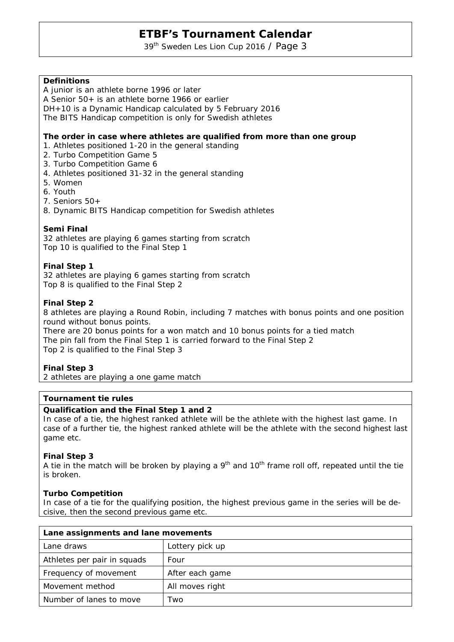39<sup>th</sup> Sweden Les Lion Cup 2016 / Page 3

## **Definitions**

A junior is an athlete borne 1996 or later

A Senior 50+ is an athlete borne 1966 or earlier

DH+10 is a Dynamic Handicap calculated by 5 February 2016

The BITS Handicap competition is only for Swedish athletes

#### **The order in case where athletes are qualified from more than one group**

- 1. Athletes positioned 1-20 in the general standing
- 2. Turbo Competition Game 5
- 3. Turbo Competition Game 6
- 4. Athletes positioned 31-32 in the general standing
- 5. Women
- 6. Youth
- 7. Seniors 50+
- 8. Dynamic BITS Handicap competition for Swedish athletes

#### **Semi Final**

32 athletes are playing 6 games starting from scratch Top 10 is qualified to the Final Step 1

#### **Final Step 1**

32 athletes are playing 6 games starting from scratch Top 8 is qualified to the Final Step 2

### **Final Step 2**

8 athletes are playing a Round Robin, including 7 matches with bonus points and one position round without bonus points.

There are 20 bonus points for a won match and 10 bonus points for a tied match The pin fall from the Final Step 1 is carried forward to the Final Step 2 Top 2 is qualified to the Final Step 3

### **Final Step 3**

2 athletes are playing a one game match

#### **Tournament tie rules**

#### **Qualification and the Final Step 1 and 2**

In case of a tie, the highest ranked athlete will be the athlete with the highest last game. In case of a further tie, the highest ranked athlete will be the athlete with the second highest last game etc.

#### **Final Step 3**

A tie in the match will be broken by playing a  $9<sup>th</sup>$  and  $10<sup>th</sup>$  frame roll off, repeated until the tie is broken.

### **Turbo Competition**

In case of a tie for the qualifying position, the highest previous game in the series will be decisive, then the second previous game etc.

| Lane assignments and lane movements |                 |  |
|-------------------------------------|-----------------|--|
| Lane draws                          | Lottery pick up |  |
| Athletes per pair in squads         | Four            |  |
| Frequency of movement               | After each game |  |
| Movement method                     | All moves right |  |
| Number of lanes to move             | Two             |  |